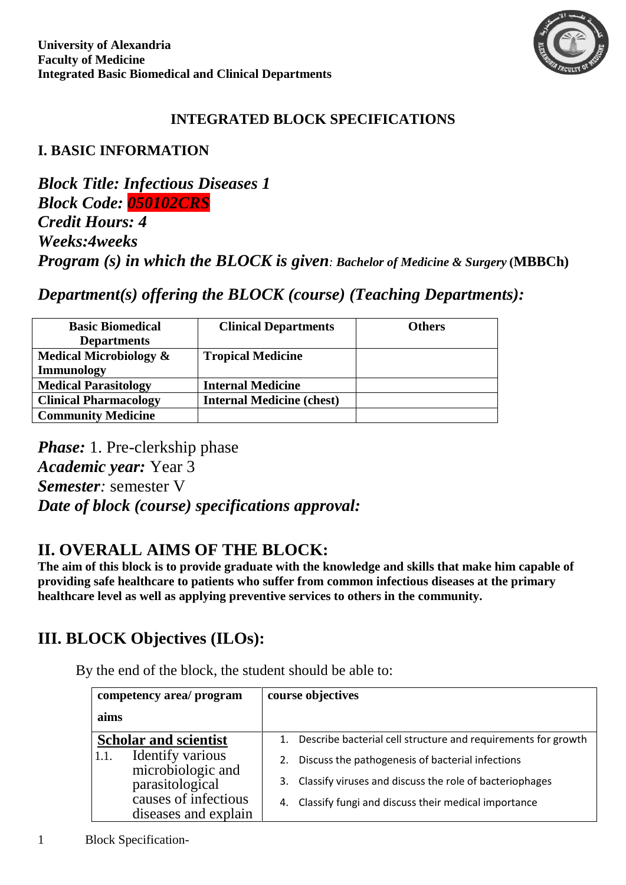

## **INTEGRATED BLOCK SPECIFICATIONS**

## **I. BASIC INFORMATION**

*Block Title: Infectious Diseases 1 Block Code: 050102CRS Credit Hours: 4 Weeks:4weeks Program (s) in which the BLOCK is given: Bachelor of Medicine & Surgery* **(MBBCh)**

*Department(s) offering the BLOCK (course) (Teaching Departments):*

| <b>Basic Biomedical</b><br><b>Departments</b>   | <b>Clinical Departments</b>      | <b>Others</b> |
|-------------------------------------------------|----------------------------------|---------------|
| <b>Medical Microbiology <math>\&amp;</math></b> | <b>Tropical Medicine</b>         |               |
| <b>Immunology</b>                               |                                  |               |
| <b>Medical Parasitology</b>                     | <b>Internal Medicine</b>         |               |
| <b>Clinical Pharmacology</b>                    | <b>Internal Medicine (chest)</b> |               |
| <b>Community Medicine</b>                       |                                  |               |

*Phase:* 1. Pre-clerkship phase *Academic year:* Year 3 *Semester:* semester V *Date of block (course) specifications approval:*

# **II. OVERALL AIMS OF THE BLOCK:**

**The aim of this block is to provide graduate with the knowledge and skills that make him capable of providing safe healthcare to patients who suffer from common infectious diseases at the primary healthcare level as well as applying preventive services to others in the community.**

# **III. BLOCK Objectives (ILOs):**

By the end of the block, the student should be able to:

| competency area/ program                                                                                         | course objectives                                                                                                                                                                 |
|------------------------------------------------------------------------------------------------------------------|-----------------------------------------------------------------------------------------------------------------------------------------------------------------------------------|
| aims                                                                                                             |                                                                                                                                                                                   |
| <b>Scholar and scientist</b>                                                                                     | 1. Describe bacterial cell structure and requirements for growth                                                                                                                  |
| Identify various<br>1.1.<br>microbiologic and<br>parasitological<br>causes of infectious<br>diseases and explain | Discuss the pathogenesis of bacterial infections<br>2.<br>3. Classify viruses and discuss the role of bacteriophages<br>Classify fungi and discuss their medical importance<br>4. |

1 Block Specification-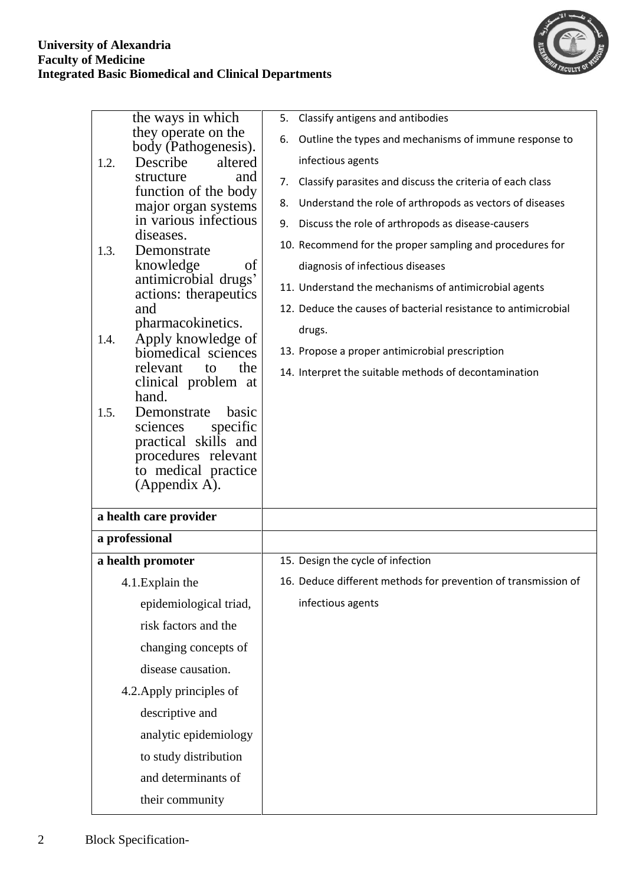

|      | the ways in which                             | Classify antigens and antibodies<br>5.                          |
|------|-----------------------------------------------|-----------------------------------------------------------------|
|      | they operate on the<br>body (Pathogenesis).   | Outline the types and mechanisms of immune response to<br>6.    |
| 1.2. | altered<br>Describe                           | infectious agents                                               |
|      | structure<br>and<br>function of the body      | Classify parasites and discuss the criteria of each class<br>7. |
|      | major organ systems                           | Understand the role of arthropods as vectors of diseases<br>8.  |
|      | in various infectious<br>diseases.            | Discuss the role of arthropods as disease-causers<br>9.         |
| 1.3. | Demonstrate                                   | 10. Recommend for the proper sampling and procedures for        |
|      | knowledge<br>of                               | diagnosis of infectious diseases                                |
|      | antimicrobial drugs'<br>actions: therapeutics | 11. Understand the mechanisms of antimicrobial agents           |
|      | and                                           | 12. Deduce the causes of bacterial resistance to antimicrobial  |
| 1.4. | pharmacokinetics.<br>Apply knowledge of       | drugs.                                                          |
|      | biomedical sciences                           | 13. Propose a proper antimicrobial prescription                 |
|      | the<br>relevant<br>to<br>clinical problem at  | 14. Interpret the suitable methods of decontamination           |
|      | hand.                                         |                                                                 |
| 1.5. | Demonstrate<br>basic<br>specific<br>sciences  |                                                                 |
|      | practical skills and                          |                                                                 |
|      | procedures relevant<br>to medical practice    |                                                                 |
|      | (Appendix A).                                 |                                                                 |
|      |                                               |                                                                 |
|      | a health care provider                        |                                                                 |
|      | a professional                                |                                                                 |
|      | a health promoter                             | 15. Design the cycle of infection                               |
|      | 4.1. Explain the                              | 16. Deduce different methods for prevention of transmission of  |
|      | epidemiological triad,                        | infectious agents                                               |
|      | risk factors and the                          |                                                                 |
|      | changing concepts of                          |                                                                 |
|      | disease causation.                            |                                                                 |
|      | 4.2. Apply principles of                      |                                                                 |
|      | descriptive and                               |                                                                 |
|      | analytic epidemiology                         |                                                                 |
|      | to study distribution                         |                                                                 |
|      | and determinants of                           |                                                                 |
|      | their community                               |                                                                 |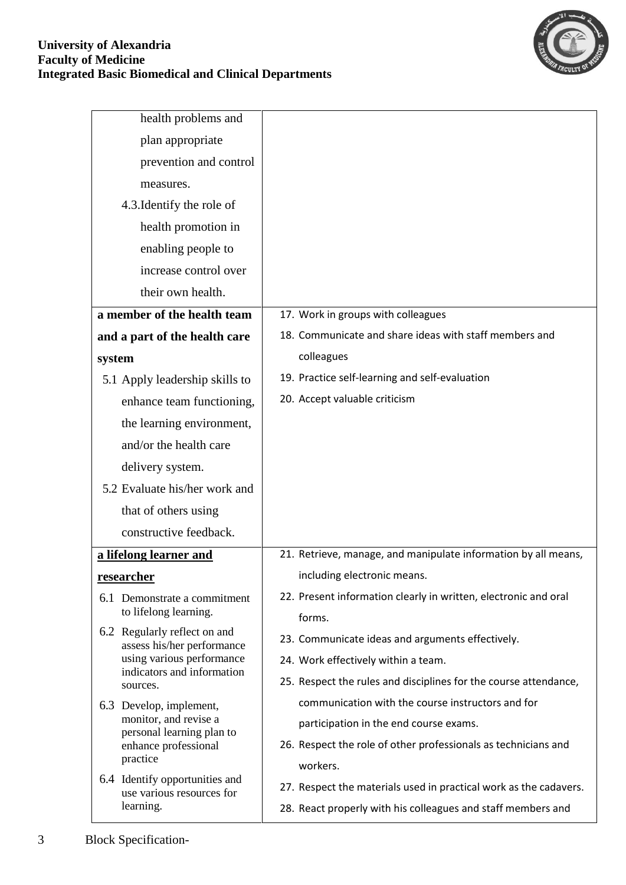

| health problems and                                        |                                                                   |
|------------------------------------------------------------|-------------------------------------------------------------------|
| plan appropriate                                           |                                                                   |
| prevention and control                                     |                                                                   |
| measures.                                                  |                                                                   |
| 4.3. Identify the role of                                  |                                                                   |
| health promotion in                                        |                                                                   |
| enabling people to                                         |                                                                   |
| increase control over                                      |                                                                   |
| their own health.                                          |                                                                   |
| a member of the health team                                | 17. Work in groups with colleagues                                |
| and a part of the health care                              | 18. Communicate and share ideas with staff members and            |
| system                                                     | colleagues                                                        |
| 5.1 Apply leadership skills to                             | 19. Practice self-learning and self-evaluation                    |
| enhance team functioning,                                  | 20. Accept valuable criticism                                     |
| the learning environment,                                  |                                                                   |
| and/or the health care                                     |                                                                   |
| delivery system.                                           |                                                                   |
| 5.2 Evaluate his/her work and                              |                                                                   |
| that of others using                                       |                                                                   |
| constructive feedback.                                     |                                                                   |
| a lifelong learner and                                     | 21. Retrieve, manage, and manipulate information by all means,    |
| <u>researcher</u>                                          | including electronic means.                                       |
| 6.1 Demonstrate a commitment                               | 22. Present information clearly in written, electronic and oral   |
| to lifelong learning.                                      | forms.                                                            |
| 6.2 Regularly reflect on and<br>assess his/her performance | 23. Communicate ideas and arguments effectively.                  |
| using various performance<br>indicators and information    | 24. Work effectively within a team.                               |
| sources.                                                   | 25. Respect the rules and disciplines for the course attendance,  |
| 6.3 Develop, implement,<br>monitor, and revise a           | communication with the course instructors and for                 |
| personal learning plan to                                  | participation in the end course exams.                            |
| enhance professional<br>practice                           | 26. Respect the role of other professionals as technicians and    |
| 6.4 Identify opportunities and                             | workers.                                                          |
| use various resources for                                  | 27. Respect the materials used in practical work as the cadavers. |
| learning.                                                  | 28. React properly with his colleagues and staff members and      |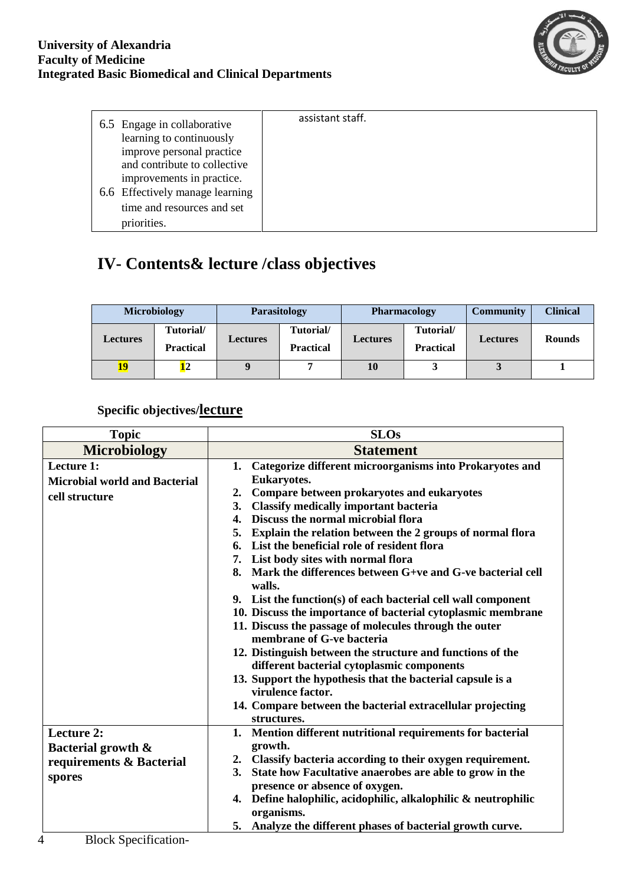

| 6.5 Engage in collaborative<br>learning to continuously | assistant staff. |
|---------------------------------------------------------|------------------|
| improve personal practice                               |                  |
| and contribute to collective                            |                  |
| improvements in practice.                               |                  |
| 6.6 Effectively manage learning                         |                  |
| time and resources and set                              |                  |
| priorities.                                             |                  |

# **IV- Contents& lecture /class objectives**

|          | <b>Microbiology</b>           |          | Parasitology                  | <b>Pharmacology</b> |                               | <b>Community</b> | <b>Clinical</b> |
|----------|-------------------------------|----------|-------------------------------|---------------------|-------------------------------|------------------|-----------------|
| Lectures | Tutorial/<br><b>Practical</b> | Lectures | Tutorial/<br><b>Practical</b> | <b>Lectures</b>     | Tutorial/<br><b>Practical</b> | <b>Lectures</b>  | <b>Rounds</b>   |
| 19       | <u>12</u>                     |          |                               | 10                  |                               |                  |                 |

## **Specific objectives/lecture**

| <b>Topic</b>                                                                                                              | <b>SLOs</b>                                                                                                                                                                                                                                                                                                                                                                                                                                                                                                                                                                                                                                                                                                                                                                                                                                                                                                                                                                      |
|---------------------------------------------------------------------------------------------------------------------------|----------------------------------------------------------------------------------------------------------------------------------------------------------------------------------------------------------------------------------------------------------------------------------------------------------------------------------------------------------------------------------------------------------------------------------------------------------------------------------------------------------------------------------------------------------------------------------------------------------------------------------------------------------------------------------------------------------------------------------------------------------------------------------------------------------------------------------------------------------------------------------------------------------------------------------------------------------------------------------|
| <b>Microbiology</b>                                                                                                       | <b>Statement</b>                                                                                                                                                                                                                                                                                                                                                                                                                                                                                                                                                                                                                                                                                                                                                                                                                                                                                                                                                                 |
| Lecture 1:<br><b>Microbial world and Bacterial</b><br>cell structure                                                      | 1. Categorize different microorganisms into Prokaryotes and<br>Eukaryotes.<br>Compare between prokaryotes and eukaryotes<br>2.<br><b>Classify medically important bacteria</b><br>3.<br>Discuss the normal microbial flora<br>4.<br>Explain the relation between the 2 groups of normal flora<br>5.<br>List the beneficial role of resident flora<br>6.<br>7. List body sites with normal flora<br>Mark the differences between G+ve and G-ve bacterial cell<br>8.<br>walls.<br>9. List the function(s) of each bacterial cell wall component<br>10. Discuss the importance of bacterial cytoplasmic membrane<br>11. Discuss the passage of molecules through the outer<br>membrane of G-ve bacteria<br>12. Distinguish between the structure and functions of the<br>different bacterial cytoplasmic components<br>13. Support the hypothesis that the bacterial capsule is a<br>virulence factor.<br>14. Compare between the bacterial extracellular projecting<br>structures. |
| <b>Lecture 2:</b><br>Bacterial growth &<br>requirements & Bacterial<br>spores<br>$\cdot$ $\sim$<br>$P1$ $P2$<br>$\cdot$ . | 1. Mention different nutritional requirements for bacterial<br>growth.<br>Classify bacteria according to their oxygen requirement.<br>2.<br>State how Facultative anaerobes are able to grow in the<br>3.<br>presence or absence of oxygen.<br>4. Define halophilic, acidophilic, alkalophilic & neutrophilic<br>organisms.<br>5. Analyze the different phases of bacterial growth curve.                                                                                                                                                                                                                                                                                                                                                                                                                                                                                                                                                                                        |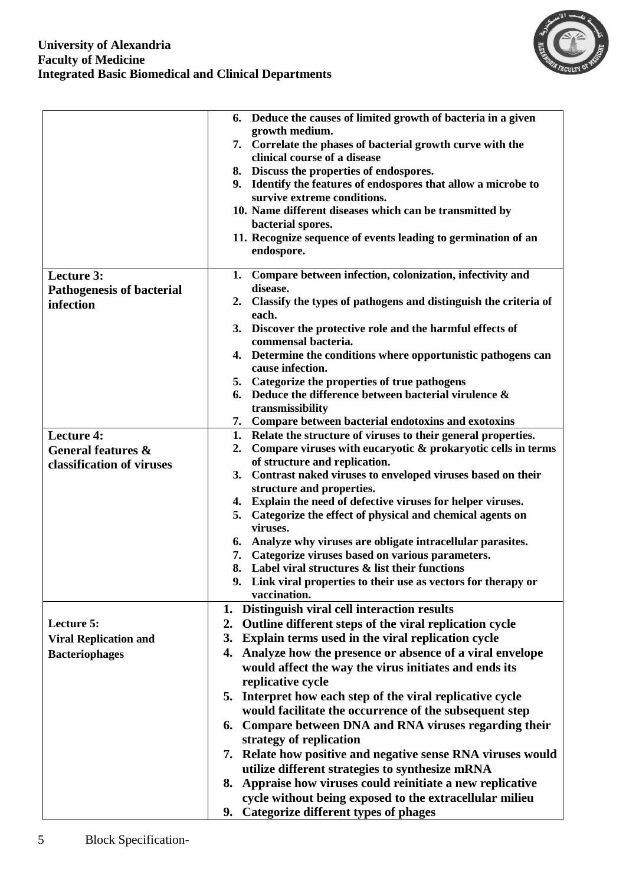#### **University of Alexandria Faculty of Medicine Integrated Basic Biomedical and Clinical Departments**



|                                  | 6. Deduce the causes of limited growth of bacteria in a given                                                            |
|----------------------------------|--------------------------------------------------------------------------------------------------------------------------|
|                                  | growth medium.<br>7. Correlate the phases of bacterial growth curve with the                                             |
|                                  | clinical course of a disease                                                                                             |
|                                  | 8. Discuss the properties of endospores.                                                                                 |
|                                  | Identify the features of endospores that allow a microbe to<br>9.                                                        |
|                                  | survive extreme conditions.<br>10. Name different diseases which can be transmitted by                                   |
|                                  | bacterial spores.                                                                                                        |
|                                  | 11. Recognize sequence of events leading to germination of an                                                            |
|                                  | endospore.                                                                                                               |
| Lecture 3:                       | 1. Compare between infection, colonization, infectivity and                                                              |
| <b>Pathogenesis of bacterial</b> | disease.                                                                                                                 |
| infection                        | Classify the types of pathogens and distinguish the criteria of<br>2.<br>each.                                           |
|                                  | 3. Discover the protective role and the harmful effects of                                                               |
|                                  | commensal bacteria.                                                                                                      |
|                                  | 4. Determine the conditions where opportunistic pathogens can                                                            |
|                                  | cause infection.<br>5. Categorize the properties of true pathogens                                                       |
|                                  | 6. Deduce the difference between bacterial virulence $\&$                                                                |
|                                  | transmissibility                                                                                                         |
|                                  | 7. Compare between bacterial endotoxins and exotoxins                                                                    |
| <b>Lecture 4:</b>                | 1.<br>Relate the structure of viruses to their general properties.                                                       |
| General features &               | Compare viruses with eucaryotic & prokaryotic cells in terms<br>2.                                                       |
| classification of viruses        | of structure and replication.<br>3. Contrast naked viruses to enveloped viruses based on their                           |
|                                  | structure and properties.                                                                                                |
|                                  | 4. Explain the need of defective viruses for helper viruses.                                                             |
|                                  | 5. Categorize the effect of physical and chemical agents on                                                              |
|                                  | viruses.                                                                                                                 |
|                                  | Analyze why viruses are obligate intracellular parasites.<br>6.<br>Categorize viruses based on various parameters.<br>7. |
|                                  | 8. Label viral structures & list their functions                                                                         |
|                                  | 9. Link viral properties to their use as vectors for therapy or                                                          |
|                                  | vaccination.                                                                                                             |
|                                  | Distinguish viral cell interaction results<br>1.                                                                         |
| Lecture 5:                       | Outline different steps of the viral replication cycle<br>2.                                                             |
| <b>Viral Replication and</b>     | Explain terms used in the viral replication cycle<br>3.                                                                  |
| <b>Bacteriophages</b>            | Analyze how the presence or absence of a viral envelope<br>4.                                                            |
|                                  | would affect the way the virus initiates and ends its<br>replicative cycle                                               |
|                                  | 5. Interpret how each step of the viral replicative cycle                                                                |
|                                  | would facilitate the occurrence of the subsequent step                                                                   |
|                                  | Compare between DNA and RNA viruses regarding their<br>6.                                                                |
|                                  | strategy of replication                                                                                                  |
|                                  | 7. Relate how positive and negative sense RNA viruses would                                                              |
|                                  | utilize different strategies to synthesize mRNA                                                                          |
|                                  | 8. Appraise how viruses could reinitiate a new replicative                                                               |
|                                  | cycle without being exposed to the extracellular milieu                                                                  |
|                                  | 9. Categorize different types of phages                                                                                  |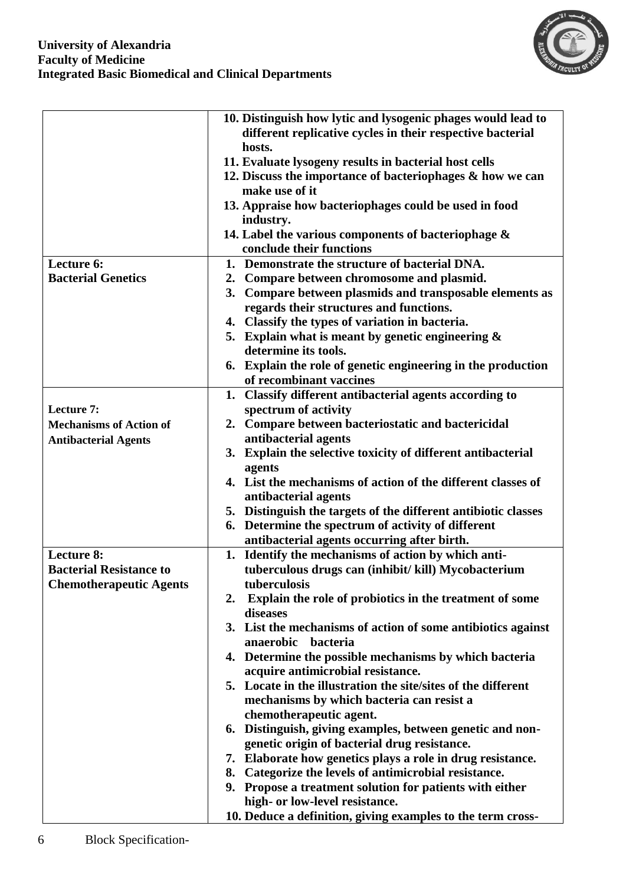

|                                | 10. Distinguish how lytic and lysogenic phages would lead to                       |
|--------------------------------|------------------------------------------------------------------------------------|
|                                | different replicative cycles in their respective bacterial                         |
|                                | hosts.                                                                             |
|                                | 11. Evaluate lysogeny results in bacterial host cells                              |
|                                | 12. Discuss the importance of bacteriophages & how we can<br>make use of it        |
|                                | 13. Appraise how bacteriophages could be used in food                              |
|                                | industry.                                                                          |
|                                | 14. Label the various components of bacteriophage $\&$<br>conclude their functions |
| Lecture 6:                     | Demonstrate the structure of bacterial DNA.<br>1.                                  |
| <b>Bacterial Genetics</b>      | 2. Compare between chromosome and plasmid.                                         |
|                                | 3. Compare between plasmids and transposable elements as                           |
|                                | regards their structures and functions.                                            |
|                                | 4. Classify the types of variation in bacteria.                                    |
|                                | 5. Explain what is meant by genetic engineering $\&$                               |
|                                | determine its tools.                                                               |
|                                | 6. Explain the role of genetic engineering in the production                       |
|                                | of recombinant vaccines                                                            |
|                                | 1. Classify different antibacterial agents according to                            |
| Lecture 7:                     | spectrum of activity                                                               |
| <b>Mechanisms of Action of</b> | 2. Compare between bacteriostatic and bactericidal                                 |
| <b>Antibacterial Agents</b>    | antibacterial agents                                                               |
|                                | 3. Explain the selective toxicity of different antibacterial                       |
|                                | agents                                                                             |
|                                | 4. List the mechanisms of action of the different classes of                       |
|                                | antibacterial agents                                                               |
|                                | 5. Distinguish the targets of the different antibiotic classes                     |
|                                | Determine the spectrum of activity of different<br>6.                              |
|                                | antibacterial agents occurring after birth.                                        |
| Lecture 8:                     | Identify the mechanisms of action by which anti-<br>1.                             |
| <b>Bacterial Resistance to</b> | tuberculous drugs can (inhibit/kill) Mycobacterium                                 |
| <b>Chemotherapeutic Agents</b> | tuberculosis                                                                       |
|                                | Explain the role of probiotics in the treatment of some<br>2.                      |
|                                | diseases                                                                           |
|                                | 3. List the mechanisms of action of some antibiotics against                       |
|                                | anaerobic<br>bacteria                                                              |
|                                | 4. Determine the possible mechanisms by which bacteria                             |
|                                | acquire antimicrobial resistance.                                                  |
|                                | 5. Locate in the illustration the site/sites of the different                      |
|                                | mechanisms by which bacteria can resist a                                          |
|                                | chemotherapeutic agent.                                                            |
|                                | 6. Distinguish, giving examples, between genetic and non-                          |
|                                | genetic origin of bacterial drug resistance.                                       |
|                                | 7. Elaborate how genetics plays a role in drug resistance.                         |
|                                | 8. Categorize the levels of antimicrobial resistance.                              |
|                                | 9. Propose a treatment solution for patients with either                           |
|                                | high- or low-level resistance.                                                     |
|                                | 10. Deduce a definition, giving examples to the term cross-                        |
|                                |                                                                                    |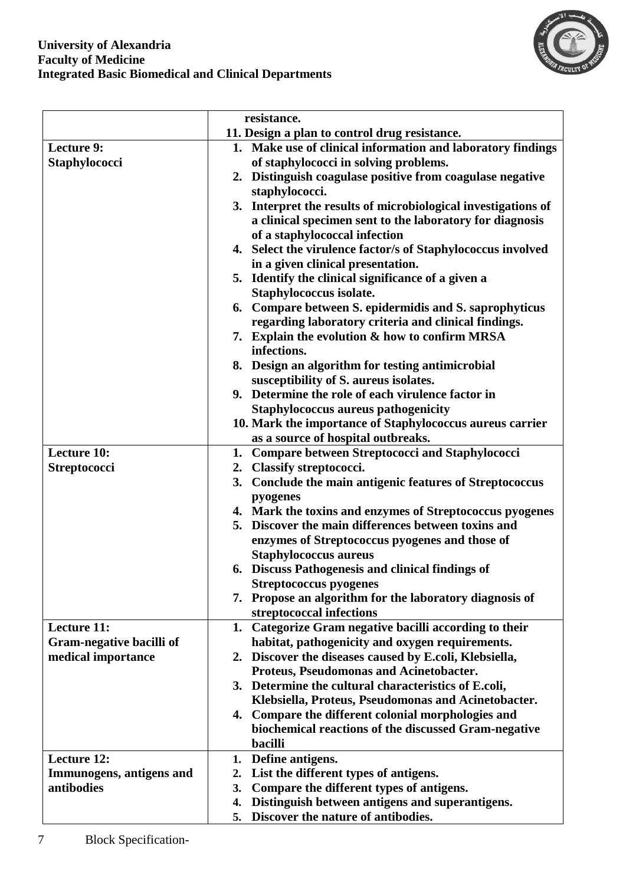

|                          | resistance.                                                          |
|--------------------------|----------------------------------------------------------------------|
|                          | 11. Design a plan to control drug resistance.                        |
| <b>Lecture 9:</b>        | 1. Make use of clinical information and laboratory findings          |
| <b>Staphylococci</b>     | of staphylococci in solving problems.                                |
|                          | 2. Distinguish coagulase positive from coagulase negative            |
|                          | staphylococci.                                                       |
|                          | 3. Interpret the results of microbiological investigations of        |
|                          | a clinical specimen sent to the laboratory for diagnosis             |
|                          | of a staphylococcal infection                                        |
|                          | 4. Select the virulence factor/s of Staphylococcus involved          |
|                          | in a given clinical presentation.                                    |
|                          | 5. Identify the clinical significance of a given a                   |
|                          | Staphylococcus isolate.                                              |
|                          | 6. Compare between S. epidermidis and S. saprophyticus               |
|                          | regarding laboratory criteria and clinical findings.                 |
|                          | 7. Explain the evolution & how to confirm MRSA                       |
|                          | infections.                                                          |
|                          | 8. Design an algorithm for testing antimicrobial                     |
|                          | susceptibility of S. aureus isolates.                                |
|                          | 9. Determine the role of each virulence factor in                    |
|                          | <b>Staphylococcus aureus pathogenicity</b>                           |
|                          | 10. Mark the importance of Staphylococcus aureus carrier             |
|                          | as a source of hospital outbreaks.                                   |
| <b>Lecture 10:</b>       | 1. Compare between Streptococci and Staphylococci                    |
| Streptococci             | <b>Classify streptococci.</b><br>2.                                  |
|                          | 3. Conclude the main antigenic features of Streptococcus             |
|                          | pyogenes<br>4. Mark the toxins and enzymes of Streptococcus pyogenes |
|                          | 5. Discover the main differences between toxins and                  |
|                          | enzymes of Streptococcus pyogenes and those of                       |
|                          | <b>Staphylococcus aureus</b>                                         |
|                          | 6. Discuss Pathogenesis and clinical findings of                     |
|                          | <b>Streptococcus pyogenes</b>                                        |
|                          | 7. Propose an algorithm for the laboratory diagnosis of              |
|                          | streptococcal infections                                             |
| <b>Lecture 11:</b>       | 1. Categorize Gram negative bacilli according to their               |
| Gram-negative bacilli of | habitat, pathogenicity and oxygen requirements.                      |
| medical importance       | 2. Discover the diseases caused by E.coli, Klebsiella,               |
|                          | Proteus, Pseudomonas and Acinetobacter.                              |
|                          | 3. Determine the cultural characteristics of E.coli,                 |
|                          | Klebsiella, Proteus, Pseudomonas and Acinetobacter.                  |
|                          | 4. Compare the different colonial morphologies and                   |
|                          | biochemical reactions of the discussed Gram-negative                 |
|                          | bacilli                                                              |
| <b>Lecture 12:</b>       | Define antigens.<br>1.                                               |
| Immunogens, antigens and | List the different types of antigens.<br>2.                          |
| antibodies               | Compare the different types of antigens.<br>3.                       |
|                          | Distinguish between antigens and superantigens.<br>4.                |
|                          | Discover the nature of antibodies.<br>5.                             |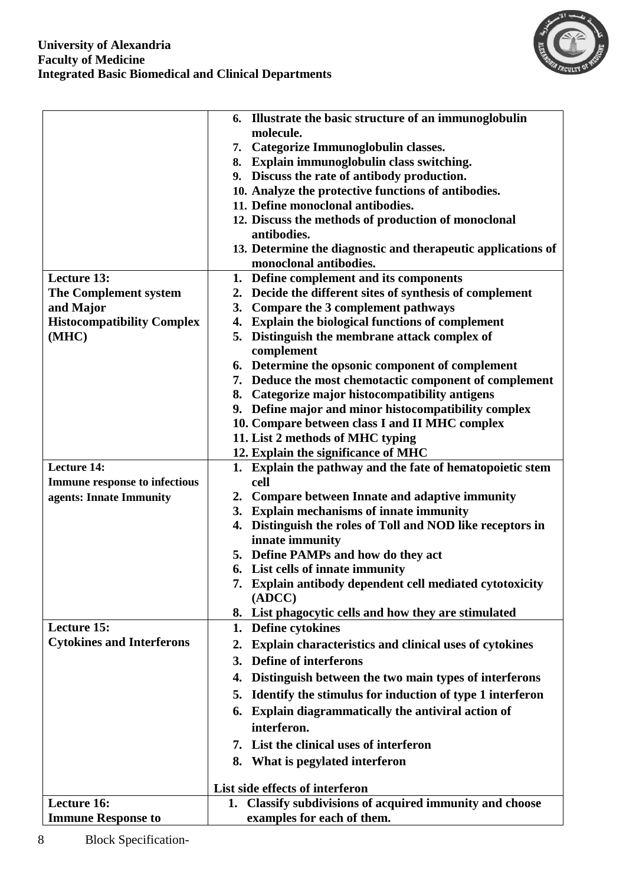

|                                      | 6. Illustrate the basic structure of an immunoglobulin                                    |
|--------------------------------------|-------------------------------------------------------------------------------------------|
|                                      | molecule.                                                                                 |
|                                      | 7. Categorize Immunoglobulin classes.                                                     |
|                                      | 8. Explain immunoglobulin class switching.<br>9. Discuss the rate of antibody production. |
|                                      | 10. Analyze the protective functions of antibodies.                                       |
|                                      | 11. Define monoclonal antibodies.                                                         |
|                                      | 12. Discuss the methods of production of monoclonal                                       |
|                                      | antibodies.                                                                               |
|                                      | 13. Determine the diagnostic and therapeutic applications of                              |
|                                      | monoclonal antibodies.                                                                    |
| <b>Lecture 13:</b>                   | 1. Define complement and its components                                                   |
| The Complement system                | 2. Decide the different sites of synthesis of complement                                  |
| and Major                            | Compare the 3 complement pathways<br>3.                                                   |
| <b>Histocompatibility Complex</b>    | <b>Explain the biological functions of complement</b><br>4.                               |
| (MHC)                                | 5. Distinguish the membrane attack complex of                                             |
|                                      | complement                                                                                |
|                                      | 6. Determine the opsonic component of complement                                          |
|                                      | 7. Deduce the most chemotactic component of complement                                    |
|                                      | 8. Categorize major histocompatibility antigens                                           |
|                                      | 9. Define major and minor histocompatibility complex                                      |
|                                      | 10. Compare between class I and II MHC complex                                            |
|                                      | 11. List 2 methods of MHC typing                                                          |
|                                      | 12. Explain the significance of MHC                                                       |
| <b>Lecture 14:</b>                   | 1. Explain the pathway and the fate of hematopoietic stem                                 |
| <b>Immune response to infectious</b> | cell                                                                                      |
| agents: Innate Immunity              | 2. Compare between Innate and adaptive immunity                                           |
|                                      | <b>Explain mechanisms of innate immunity</b><br>3.                                        |
|                                      | 4. Distinguish the roles of Toll and NOD like receptors in                                |
|                                      | innate immunity                                                                           |
|                                      | 5. Define PAMPs and how do they act                                                       |
|                                      | 6. List cells of innate immunity                                                          |
|                                      | 7. Explain antibody dependent cell mediated cytotoxicity<br>(ADCC)                        |
|                                      | 8. List phagocytic cells and how they are stimulated                                      |
| <b>Lecture 15:</b>                   | 1. Define cytokines                                                                       |
| <b>Cytokines and Interferons</b>     | <b>Explain characteristics and clinical uses of cytokines</b><br>2.                       |
|                                      | <b>Define of interferons</b><br>3.                                                        |
|                                      | Distinguish between the two main types of interferons<br>4.                               |
|                                      | Identify the stimulus for induction of type 1 interferon<br>5.                            |
|                                      | 6. Explain diagrammatically the antiviral action of                                       |
|                                      | interferon.                                                                               |
|                                      | 7. List the clinical uses of interferon                                                   |
|                                      | 8. What is pegylated interferon                                                           |
|                                      |                                                                                           |
|                                      | List side effects of interferon                                                           |
| Lecture 16:                          | 1. Classify subdivisions of acquired immunity and choose                                  |
| <b>Immune Response to</b>            | examples for each of them.                                                                |

8 Block Specification-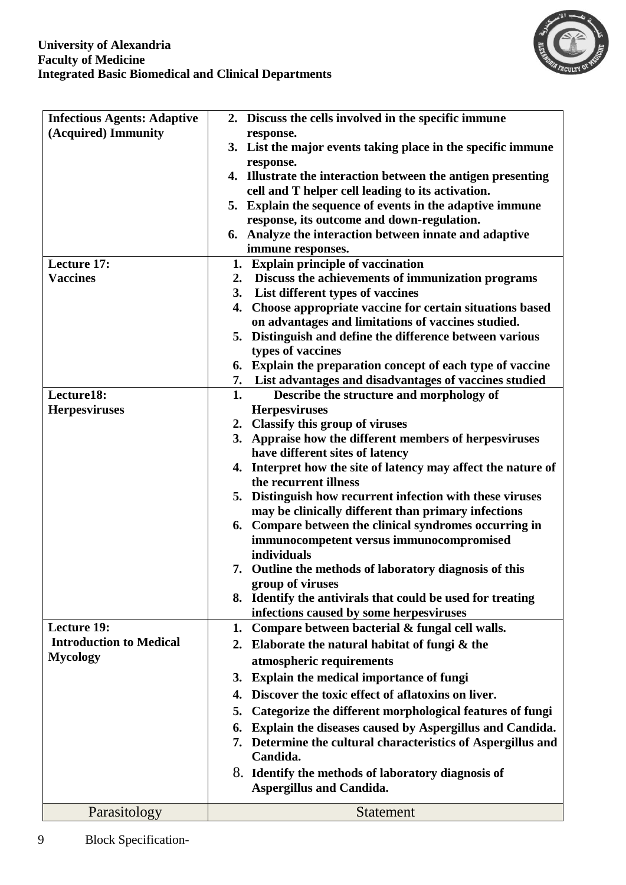

| <b>Infectious Agents: Adaptive</b> | 2. Discuss the cells involved in the specific immune                                   |
|------------------------------------|----------------------------------------------------------------------------------------|
| (Acquired) Immunity                | response.                                                                              |
|                                    | 3. List the major events taking place in the specific immune                           |
|                                    | response.                                                                              |
|                                    | 4. Illustrate the interaction between the antigen presenting                           |
|                                    | cell and T helper cell leading to its activation.                                      |
|                                    | 5. Explain the sequence of events in the adaptive immune                               |
|                                    | response, its outcome and down-regulation.                                             |
|                                    | 6. Analyze the interaction between innate and adaptive<br>immune responses.            |
| <b>Lecture 17:</b>                 | 1. Explain principle of vaccination                                                    |
| <b>Vaccines</b>                    | Discuss the achievements of immunization programs<br>2.                                |
|                                    | List different types of vaccines<br>3.                                                 |
|                                    | Choose appropriate vaccine for certain situations based<br>4.                          |
|                                    | on advantages and limitations of vaccines studied.                                     |
|                                    | Distinguish and define the difference between various<br>5.                            |
|                                    | types of vaccines                                                                      |
|                                    | 6. Explain the preparation concept of each type of vaccine                             |
|                                    | List advantages and disadvantages of vaccines studied<br>7.                            |
| Lecture18:                         | 1.<br>Describe the structure and morphology of                                         |
| <b>Herpesviruses</b>               | <b>Herpesviruses</b>                                                                   |
|                                    | 2. Classify this group of viruses                                                      |
|                                    | 3. Appraise how the different members of herpesviruses                                 |
|                                    | have different sites of latency                                                        |
|                                    | 4. Interpret how the site of latency may affect the nature of<br>the recurrent illness |
|                                    | 5. Distinguish how recurrent infection with these viruses                              |
|                                    | may be clinically different than primary infections                                    |
|                                    | 6. Compare between the clinical syndromes occurring in                                 |
|                                    | immunocompetent versus immunocompromised                                               |
|                                    | individuals                                                                            |
|                                    | 7. Outline the methods of laboratory diagnosis of this                                 |
|                                    | group of viruses                                                                       |
|                                    | 8. Identify the antivirals that could be used for treating                             |
|                                    | infections caused by some herpesviruses                                                |
| Lecture 19:                        | Compare between bacterial & fungal cell walls.<br>1.                                   |
| <b>Introduction to Medical</b>     | Elaborate the natural habitat of fungi & the<br>2.                                     |
| <b>Mycology</b>                    | atmospheric requirements                                                               |
|                                    | 3. Explain the medical importance of fungi                                             |
|                                    | Discover the toxic effect of aflatoxins on liver.<br>4.                                |
|                                    | Categorize the different morphological features of fungi<br>5.                         |
|                                    | Explain the diseases caused by Aspergillus and Candida.<br>6.                          |
|                                    | 7. Determine the cultural characteristics of Aspergillus and                           |
|                                    | Candida.                                                                               |
|                                    | 8. Identify the methods of laboratory diagnosis of                                     |
|                                    | <b>Aspergillus and Candida.</b>                                                        |
| Parasitology                       | <b>Statement</b>                                                                       |

9 Block Specification-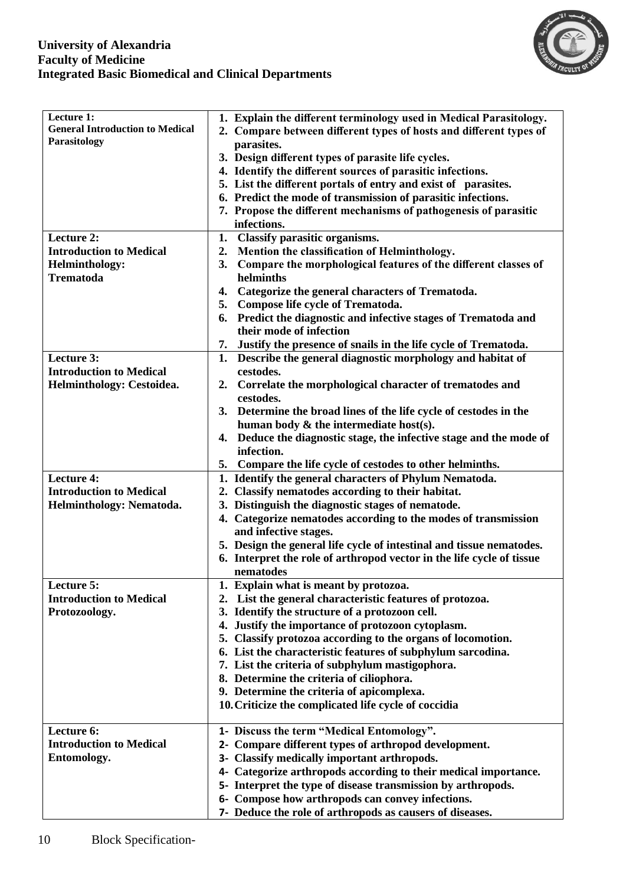#### **University of Alexandria Faculty of Medicine Integrated Basic Biomedical and Clinical Departments**



| Lecture 1:<br><b>General Introduction to Medical</b><br>Parasitology | 1. Explain the different terminology used in Medical Parasitology.<br>2. Compare between different types of hosts and different types of<br>parasites.<br>3. Design different types of parasite life cycles.<br>4. Identify the different sources of parasitic infections.<br>5. List the different portals of entry and exist of parasites.<br>6. Predict the mode of transmission of parasitic infections.<br>7. Propose the different mechanisms of pathogenesis of parasitic<br>infections. |
|----------------------------------------------------------------------|-------------------------------------------------------------------------------------------------------------------------------------------------------------------------------------------------------------------------------------------------------------------------------------------------------------------------------------------------------------------------------------------------------------------------------------------------------------------------------------------------|
| Lecture 2:                                                           | Classify parasitic organisms.<br>1.                                                                                                                                                                                                                                                                                                                                                                                                                                                             |
| <b>Introduction to Medical</b>                                       | Mention the classification of Helminthology.<br>2.                                                                                                                                                                                                                                                                                                                                                                                                                                              |
| <b>Helminthology:</b>                                                | Compare the morphological features of the different classes of<br>3.                                                                                                                                                                                                                                                                                                                                                                                                                            |
| <b>Trematoda</b>                                                     | helminths                                                                                                                                                                                                                                                                                                                                                                                                                                                                                       |
|                                                                      | Categorize the general characters of Trematoda.<br>4.                                                                                                                                                                                                                                                                                                                                                                                                                                           |
|                                                                      | Compose life cycle of Trematoda.<br>5.                                                                                                                                                                                                                                                                                                                                                                                                                                                          |
|                                                                      | Predict the diagnostic and infective stages of Trematoda and<br>6.                                                                                                                                                                                                                                                                                                                                                                                                                              |
|                                                                      | their mode of infection                                                                                                                                                                                                                                                                                                                                                                                                                                                                         |
|                                                                      |                                                                                                                                                                                                                                                                                                                                                                                                                                                                                                 |
|                                                                      | 7. Justify the presence of snails in the life cycle of Trematoda.                                                                                                                                                                                                                                                                                                                                                                                                                               |
| Lecture 3:                                                           | Describe the general diagnostic morphology and habitat of<br>1.                                                                                                                                                                                                                                                                                                                                                                                                                                 |
| <b>Introduction to Medical</b>                                       | cestodes.                                                                                                                                                                                                                                                                                                                                                                                                                                                                                       |
| Helminthology: Cestoidea.                                            | Correlate the morphological character of trematodes and<br>$2_{\bullet}$                                                                                                                                                                                                                                                                                                                                                                                                                        |
|                                                                      | cestodes.                                                                                                                                                                                                                                                                                                                                                                                                                                                                                       |
|                                                                      | Determine the broad lines of the life cycle of cestodes in the<br>3.                                                                                                                                                                                                                                                                                                                                                                                                                            |
|                                                                      | human body $\&$ the intermediate host(s).                                                                                                                                                                                                                                                                                                                                                                                                                                                       |
|                                                                      | Deduce the diagnostic stage, the infective stage and the mode of<br>4.<br>infection.                                                                                                                                                                                                                                                                                                                                                                                                            |
|                                                                      |                                                                                                                                                                                                                                                                                                                                                                                                                                                                                                 |
|                                                                      | 5. Compare the life cycle of cestodes to other helminths.                                                                                                                                                                                                                                                                                                                                                                                                                                       |
| <b>Lecture 4:</b>                                                    | 1. Identify the general characters of Phylum Nematoda.                                                                                                                                                                                                                                                                                                                                                                                                                                          |
| <b>Introduction to Medical</b>                                       | 2. Classify nematodes according to their habitat.                                                                                                                                                                                                                                                                                                                                                                                                                                               |
| Helminthology: Nematoda.                                             | 3. Distinguish the diagnostic stages of nematode.                                                                                                                                                                                                                                                                                                                                                                                                                                               |
|                                                                      | 4. Categorize nematodes according to the modes of transmission<br>and infective stages.                                                                                                                                                                                                                                                                                                                                                                                                         |
|                                                                      | 5. Design the general life cycle of intestinal and tissue nematodes.                                                                                                                                                                                                                                                                                                                                                                                                                            |
|                                                                      | 6. Interpret the role of arthropod vector in the life cycle of tissue                                                                                                                                                                                                                                                                                                                                                                                                                           |
|                                                                      | nematodes                                                                                                                                                                                                                                                                                                                                                                                                                                                                                       |
| Lecture 5:                                                           | 1. Explain what is meant by protozoa.                                                                                                                                                                                                                                                                                                                                                                                                                                                           |
| <b>Introduction to Medical</b>                                       | List the general characteristic features of protozoa.<br>2.                                                                                                                                                                                                                                                                                                                                                                                                                                     |
| Protozoology.                                                        | 3. Identify the structure of a protozoon cell.                                                                                                                                                                                                                                                                                                                                                                                                                                                  |
|                                                                      | 4. Justify the importance of protozoon cytoplasm.                                                                                                                                                                                                                                                                                                                                                                                                                                               |
|                                                                      | 5. Classify protozoa according to the organs of locomotion.                                                                                                                                                                                                                                                                                                                                                                                                                                     |
|                                                                      | 6. List the characteristic features of subphylum sarcodina.                                                                                                                                                                                                                                                                                                                                                                                                                                     |
|                                                                      | 7. List the criteria of subphylum mastigophora.                                                                                                                                                                                                                                                                                                                                                                                                                                                 |
|                                                                      | 8. Determine the criteria of ciliophora.                                                                                                                                                                                                                                                                                                                                                                                                                                                        |
|                                                                      | 9. Determine the criteria of apicomplexa.                                                                                                                                                                                                                                                                                                                                                                                                                                                       |
|                                                                      | 10. Criticize the complicated life cycle of coccidia                                                                                                                                                                                                                                                                                                                                                                                                                                            |
|                                                                      |                                                                                                                                                                                                                                                                                                                                                                                                                                                                                                 |
| Lecture 6:                                                           | 1- Discuss the term "Medical Entomology".                                                                                                                                                                                                                                                                                                                                                                                                                                                       |
| <b>Introduction to Medical</b>                                       | Compare different types of arthropod development.<br>2-                                                                                                                                                                                                                                                                                                                                                                                                                                         |
| Entomology.                                                          | 3- Classify medically important arthropods.                                                                                                                                                                                                                                                                                                                                                                                                                                                     |
|                                                                      | 4- Categorize arthropods according to their medical importance.                                                                                                                                                                                                                                                                                                                                                                                                                                 |
|                                                                      | 5- Interpret the type of disease transmission by arthropods.                                                                                                                                                                                                                                                                                                                                                                                                                                    |
|                                                                      | 6- Compose how arthropods can convey infections.                                                                                                                                                                                                                                                                                                                                                                                                                                                |
|                                                                      | 7- Deduce the role of arthropods as causers of diseases.                                                                                                                                                                                                                                                                                                                                                                                                                                        |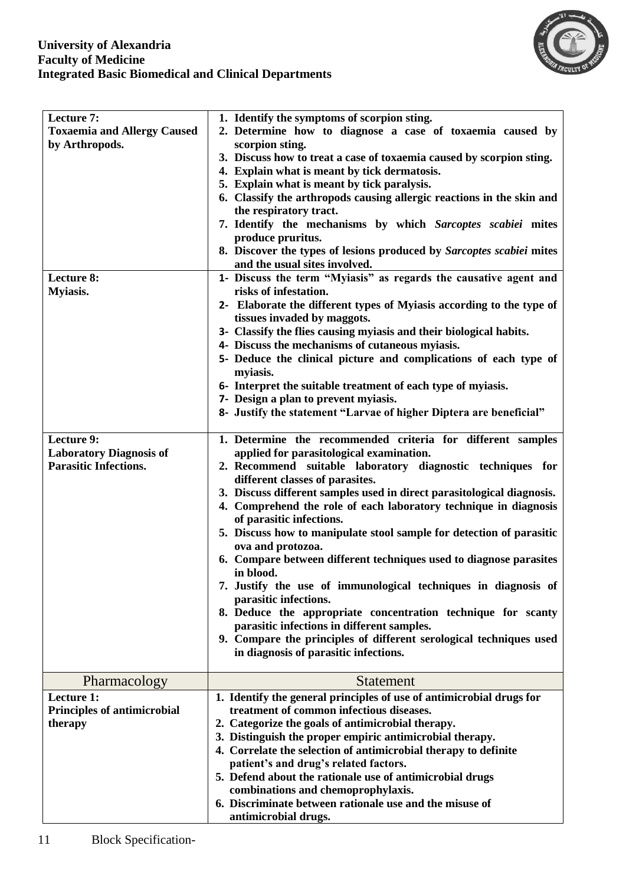

| Lecture 7:<br><b>Toxaemia and Allergy Caused</b><br>by Arthropods.           | 1. Identify the symptoms of scorpion sting.<br>2. Determine how to diagnose a case of toxaemia caused by<br>scorpion sting.<br>3. Discuss how to treat a case of toxaemia caused by scorpion sting.<br>4. Explain what is meant by tick dermatosis.<br>5. Explain what is meant by tick paralysis.<br>6. Classify the arthropods causing allergic reactions in the skin and<br>the respiratory tract.<br>7. Identify the mechanisms by which Sarcoptes scabiei mites<br>produce pruritus.<br>8. Discover the types of lesions produced by Sarcoptes scabiei mites                                                                                                                                                                                                                                                                                                                          |  |
|------------------------------------------------------------------------------|--------------------------------------------------------------------------------------------------------------------------------------------------------------------------------------------------------------------------------------------------------------------------------------------------------------------------------------------------------------------------------------------------------------------------------------------------------------------------------------------------------------------------------------------------------------------------------------------------------------------------------------------------------------------------------------------------------------------------------------------------------------------------------------------------------------------------------------------------------------------------------------------|--|
|                                                                              | and the usual sites involved.                                                                                                                                                                                                                                                                                                                                                                                                                                                                                                                                                                                                                                                                                                                                                                                                                                                              |  |
| Lecture 8:<br><b>Myiasis.</b>                                                | 1- Discuss the term "Myiasis" as regards the causative agent and<br>risks of infestation.<br>2- Elaborate the different types of Myiasis according to the type of<br>tissues invaded by maggots.<br>3- Classify the flies causing myiasis and their biological habits.<br>4- Discuss the mechanisms of cutaneous myiasis.<br>5- Deduce the clinical picture and complications of each type of<br>myiasis.<br>6- Interpret the suitable treatment of each type of myiasis.<br>7- Design a plan to prevent myiasis.<br>8- Justify the statement "Larvae of higher Diptera are beneficial"                                                                                                                                                                                                                                                                                                    |  |
| Lecture 9:<br><b>Laboratory Diagnosis of</b><br><b>Parasitic Infections.</b> | 1. Determine the recommended criteria for different samples<br>applied for parasitological examination.<br>2. Recommend suitable laboratory diagnostic techniques for<br>different classes of parasites.<br>3. Discuss different samples used in direct parasitological diagnosis.<br>4. Comprehend the role of each laboratory technique in diagnosis<br>of parasitic infections.<br>5. Discuss how to manipulate stool sample for detection of parasitic<br>ova and protozoa.<br>6. Compare between different techniques used to diagnose parasites<br>in blood.<br>7. Justify the use of immunological techniques in diagnosis of<br>parasitic infections.<br>8. Deduce the appropriate concentration technique for scanty<br>parasitic infections in different samples.<br>9. Compare the principles of different serological techniques used<br>in diagnosis of parasitic infections. |  |
| Pharmacology                                                                 | <b>Statement</b>                                                                                                                                                                                                                                                                                                                                                                                                                                                                                                                                                                                                                                                                                                                                                                                                                                                                           |  |
| Lecture 1:<br><b>Principles of antimicrobial</b><br>therapy                  | 1. Identify the general principles of use of antimicrobial drugs for<br>treatment of common infectious diseases.<br>2. Categorize the goals of antimicrobial therapy.<br>3. Distinguish the proper empiric antimicrobial therapy.<br>4. Correlate the selection of antimicrobial therapy to definite<br>patient's and drug's related factors.<br>5. Defend about the rationale use of antimicrobial drugs<br>combinations and chemoprophylaxis.<br>6. Discriminate between rationale use and the misuse of<br>antimicrobial drugs.                                                                                                                                                                                                                                                                                                                                                         |  |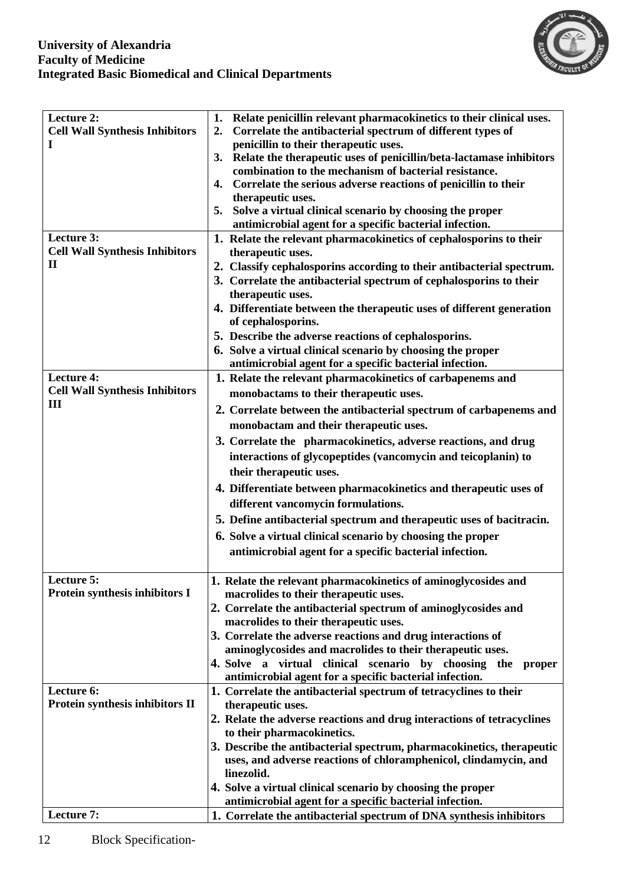

| Lecture 2:                            | Relate penicillin relevant pharmacokinetics to their clinical uses.<br>1.                                                      |
|---------------------------------------|--------------------------------------------------------------------------------------------------------------------------------|
| <b>Cell Wall Synthesis Inhibitors</b> | Correlate the antibacterial spectrum of different types of<br>2.                                                               |
| I                                     | penicillin to their therapeutic uses.                                                                                          |
|                                       | 3. Relate the therapeutic uses of penicillin/beta-lactamase inhibitors                                                         |
|                                       | combination to the mechanism of bacterial resistance.                                                                          |
|                                       | Correlate the serious adverse reactions of penicillin to their<br>4.                                                           |
|                                       | therapeutic uses.<br>Solve a virtual clinical scenario by choosing the proper                                                  |
|                                       | 5.<br>antimicrobial agent for a specific bacterial infection.                                                                  |
| Lecture 3:                            | 1. Relate the relevant pharmacokinetics of cephalosporins to their                                                             |
| <b>Cell Wall Synthesis Inhibitors</b> | therapeutic uses.                                                                                                              |
| $\mathbf{I}$                          | 2. Classify cephalosporins according to their antibacterial spectrum.                                                          |
|                                       | 3. Correlate the antibacterial spectrum of cephalosporins to their                                                             |
|                                       | therapeutic uses.                                                                                                              |
|                                       | 4. Differentiate between the therapeutic uses of different generation                                                          |
|                                       | of cephalosporins.                                                                                                             |
|                                       | 5. Describe the adverse reactions of cephalosporins.                                                                           |
|                                       | 6. Solve a virtual clinical scenario by choosing the proper                                                                    |
|                                       | antimicrobial agent for a specific bacterial infection.                                                                        |
| <b>Lecture 4:</b>                     | 1. Relate the relevant pharmacokinetics of carbapenems and                                                                     |
| <b>Cell Wall Synthesis Inhibitors</b> | monobactams to their therapeutic uses.                                                                                         |
| Ш                                     | 2. Correlate between the antibacterial spectrum of carbapenems and                                                             |
|                                       |                                                                                                                                |
|                                       | monobactam and their therapeutic uses.                                                                                         |
|                                       | 3. Correlate the pharmacokinetics, adverse reactions, and drug                                                                 |
|                                       | interactions of glycopeptides (vancomycin and teicoplanin) to                                                                  |
|                                       | their therapeutic uses.                                                                                                        |
|                                       | 4. Differentiate between pharmacokinetics and therapeutic uses of                                                              |
|                                       | different vancomycin formulations.                                                                                             |
|                                       | 5. Define antibacterial spectrum and therapeutic uses of bacitracin.                                                           |
|                                       | 6. Solve a virtual clinical scenario by choosing the proper                                                                    |
|                                       | antimicrobial agent for a specific bacterial infection.                                                                        |
|                                       |                                                                                                                                |
| Lecture 5:                            | 1. Relate the relevant pharmacokinetics of aminoglycosides and                                                                 |
| Protein synthesis inhibitors I        | macrolides to their therapeutic uses.                                                                                          |
|                                       | 2. Correlate the antibacterial spectrum of aminoglycosides and                                                                 |
|                                       | macrolides to their therapeutic uses.                                                                                          |
|                                       | 3. Correlate the adverse reactions and drug interactions of                                                                    |
|                                       | aminoglycosides and macrolides to their therapeutic uses.                                                                      |
|                                       | 4. Solve a virtual clinical scenario by choosing the proper                                                                    |
|                                       | antimicrobial agent for a specific bacterial infection.                                                                        |
| Lecture 6:                            | 1. Correlate the antibacterial spectrum of tetracyclines to their                                                              |
| Protein synthesis inhibitors II       | therapeutic uses.                                                                                                              |
|                                       | 2. Relate the adverse reactions and drug interactions of tetracyclines                                                         |
|                                       | to their pharmacokinetics.                                                                                                     |
|                                       | 3. Describe the antibacterial spectrum, pharmacokinetics, therapeutic                                                          |
|                                       | uses, and adverse reactions of chloramphenicol, clindamycin, and                                                               |
|                                       | linezolid.                                                                                                                     |
|                                       | 4. Solve a virtual clinical scenario by choosing the proper                                                                    |
| Lecture 7:                            | antimicrobial agent for a specific bacterial infection.<br>1. Correlate the antibacterial spectrum of DNA synthesis inhibitors |
|                                       |                                                                                                                                |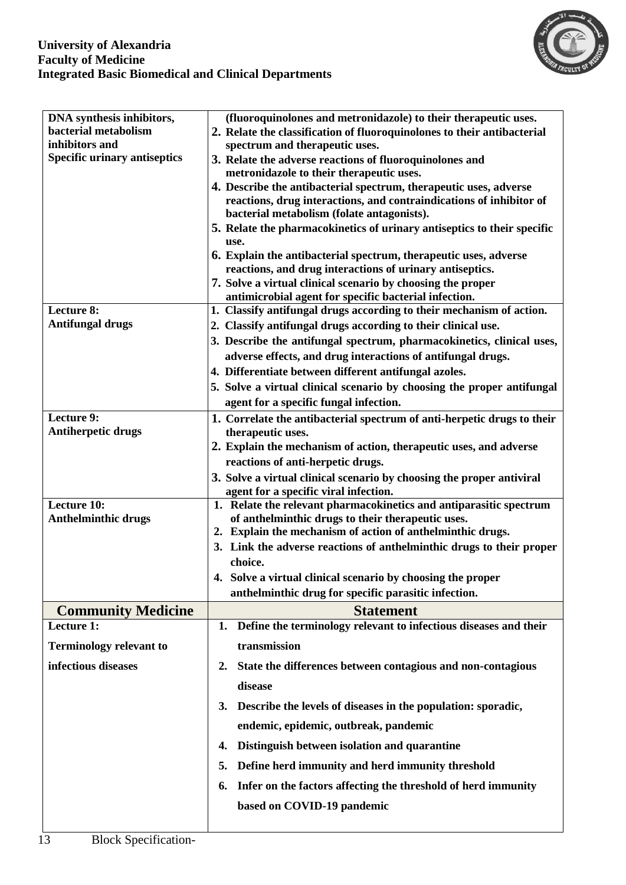

| DNA synthesis inhibitors,                      |                                                                                                                                            |  |  |  |
|------------------------------------------------|--------------------------------------------------------------------------------------------------------------------------------------------|--|--|--|
| bacterial metabolism                           | (fluoroquinolones and metronidazole) to their therapeutic uses.<br>2. Relate the classification of fluoroquinolones to their antibacterial |  |  |  |
| inhibitors and                                 | spectrum and therapeutic uses.                                                                                                             |  |  |  |
| <b>Specific urinary antiseptics</b>            | 3. Relate the adverse reactions of fluoroquinolones and                                                                                    |  |  |  |
|                                                | metronidazole to their therapeutic uses.                                                                                                   |  |  |  |
|                                                | 4. Describe the antibacterial spectrum, therapeutic uses, adverse                                                                          |  |  |  |
|                                                | reactions, drug interactions, and contraindications of inhibitor of<br>bacterial metabolism (folate antagonists).                          |  |  |  |
|                                                | 5. Relate the pharmacokinetics of urinary antiseptics to their specific                                                                    |  |  |  |
|                                                | use.                                                                                                                                       |  |  |  |
|                                                | 6. Explain the antibacterial spectrum, therapeutic uses, adverse<br>reactions, and drug interactions of urinary antiseptics.               |  |  |  |
|                                                | 7. Solve a virtual clinical scenario by choosing the proper                                                                                |  |  |  |
|                                                | antimicrobial agent for specific bacterial infection.                                                                                      |  |  |  |
| Lecture 8:<br><b>Antifungal drugs</b>          | 1. Classify antifungal drugs according to their mechanism of action.                                                                       |  |  |  |
|                                                | 2. Classify antifungal drugs according to their clinical use.                                                                              |  |  |  |
|                                                | 3. Describe the antifungal spectrum, pharmacokinetics, clinical uses,                                                                      |  |  |  |
|                                                | adverse effects, and drug interactions of antifungal drugs.                                                                                |  |  |  |
|                                                | 4. Differentiate between different antifungal azoles.                                                                                      |  |  |  |
|                                                | 5. Solve a virtual clinical scenario by choosing the proper antifungal                                                                     |  |  |  |
|                                                | agent for a specific fungal infection.                                                                                                     |  |  |  |
| <b>Lecture 9:</b><br><b>Antiherpetic drugs</b> | 1. Correlate the antibacterial spectrum of anti-herpetic drugs to their                                                                    |  |  |  |
|                                                | therapeutic uses.                                                                                                                          |  |  |  |
|                                                | 2. Explain the mechanism of action, therapeutic uses, and adverse<br>reactions of anti-herpetic drugs.                                     |  |  |  |
|                                                |                                                                                                                                            |  |  |  |
|                                                | 3. Solve a virtual clinical scenario by choosing the proper antiviral<br>agent for a specific viral infection.                             |  |  |  |
| Lecture 10:                                    | 1. Relate the relevant pharmacokinetics and antiparasitic spectrum                                                                         |  |  |  |
| <b>Anthelminthic drugs</b>                     | of anthelminthic drugs to their therapeutic uses.                                                                                          |  |  |  |
|                                                | 2. Explain the mechanism of action of anthelminthic drugs.                                                                                 |  |  |  |
|                                                | 3. Link the adverse reactions of anthelminthic drugs to their proper                                                                       |  |  |  |
|                                                | choice.                                                                                                                                    |  |  |  |
|                                                | 4. Solve a virtual clinical scenario by choosing the proper                                                                                |  |  |  |
|                                                | anthelminthic drug for specific parasitic infection.                                                                                       |  |  |  |
| <b>Community Medicine</b>                      | <b>Statement</b>                                                                                                                           |  |  |  |
| Lecture 1:<br><b>Terminology relevant to</b>   | Define the terminology relevant to infectious diseases and their<br>1.<br>transmission                                                     |  |  |  |
|                                                |                                                                                                                                            |  |  |  |
| infectious diseases                            | State the differences between contagious and non-contagious<br>2.                                                                          |  |  |  |
|                                                | disease                                                                                                                                    |  |  |  |
|                                                | Describe the levels of diseases in the population: sporadic,<br>3.                                                                         |  |  |  |
|                                                | endemic, epidemic, outbreak, pandemic                                                                                                      |  |  |  |
|                                                | Distinguish between isolation and quarantine<br>4.                                                                                         |  |  |  |
|                                                | Define herd immunity and herd immunity threshold<br>5.                                                                                     |  |  |  |
|                                                | Infer on the factors affecting the threshold of herd immunity<br>6.                                                                        |  |  |  |
|                                                | based on COVID-19 pandemic                                                                                                                 |  |  |  |
|                                                |                                                                                                                                            |  |  |  |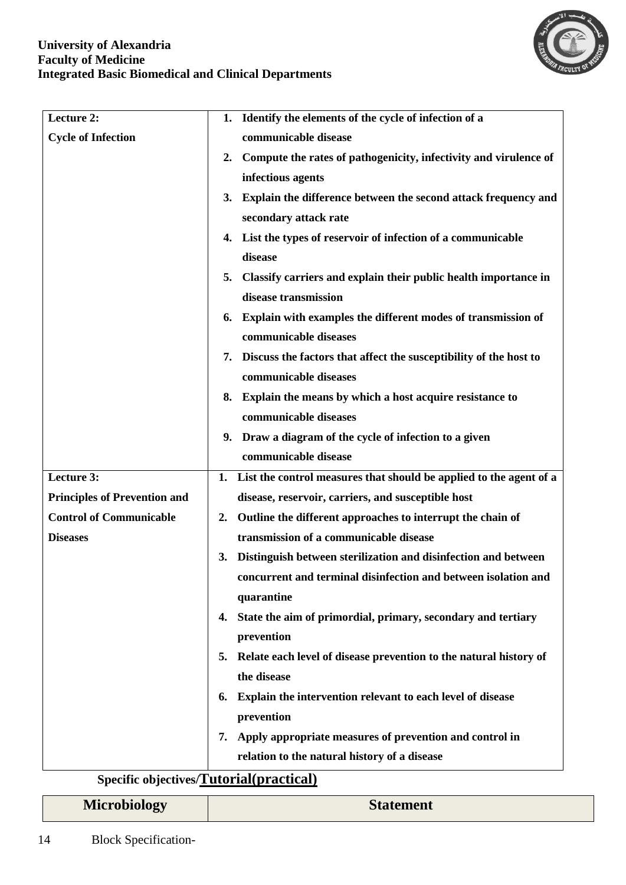

| Lecture 2:                          | Identify the elements of the cycle of infection of a<br>1.               |  |  |
|-------------------------------------|--------------------------------------------------------------------------|--|--|
| <b>Cycle of Infection</b>           | communicable disease                                                     |  |  |
|                                     | Compute the rates of pathogenicity, infectivity and virulence of<br>2.   |  |  |
|                                     | infectious agents                                                        |  |  |
|                                     | Explain the difference between the second attack frequency and<br>3.     |  |  |
|                                     | secondary attack rate                                                    |  |  |
|                                     | List the types of reservoir of infection of a communicable               |  |  |
|                                     | 4.<br>disease                                                            |  |  |
|                                     |                                                                          |  |  |
|                                     | Classify carriers and explain their public health importance in<br>5.    |  |  |
|                                     | disease transmission                                                     |  |  |
|                                     | Explain with examples the different modes of transmission of<br>6.       |  |  |
|                                     | communicable diseases                                                    |  |  |
|                                     | 7. Discuss the factors that affect the susceptibility of the host to     |  |  |
|                                     | communicable diseases                                                    |  |  |
|                                     | Explain the means by which a host acquire resistance to<br>8.            |  |  |
|                                     | communicable diseases                                                    |  |  |
|                                     | 9. Draw a diagram of the cycle of infection to a given                   |  |  |
|                                     | communicable disease                                                     |  |  |
| Lecture 3:                          | List the control measures that should be applied to the agent of a<br>1. |  |  |
| <b>Principles of Prevention and</b> | disease, reservoir, carriers, and susceptible host                       |  |  |
| <b>Control of Communicable</b>      | Outline the different approaches to interrupt the chain of<br>2.         |  |  |
| <b>Diseases</b>                     | transmission of a communicable disease                                   |  |  |
|                                     | Distinguish between sterilization and disinfection and between<br>3.     |  |  |
|                                     | concurrent and terminal disinfection and between isolation and           |  |  |
|                                     | quarantine                                                               |  |  |
|                                     | 4. State the aim of primordial, primary, secondary and tertiary          |  |  |
|                                     | prevention                                                               |  |  |
|                                     | Relate each level of disease prevention to the natural history of<br>5.  |  |  |
|                                     | the disease                                                              |  |  |
|                                     | Explain the intervention relevant to each level of disease<br>6.         |  |  |
|                                     | prevention                                                               |  |  |
|                                     | Apply appropriate measures of prevention and control in<br>7.            |  |  |
|                                     | relation to the natural history of a disease                             |  |  |
|                                     |                                                                          |  |  |

# **Specific objectives/Tutorial(practical)**

| <b>Microbiology</b> | <b>Statement</b> |
|---------------------|------------------|
|---------------------|------------------|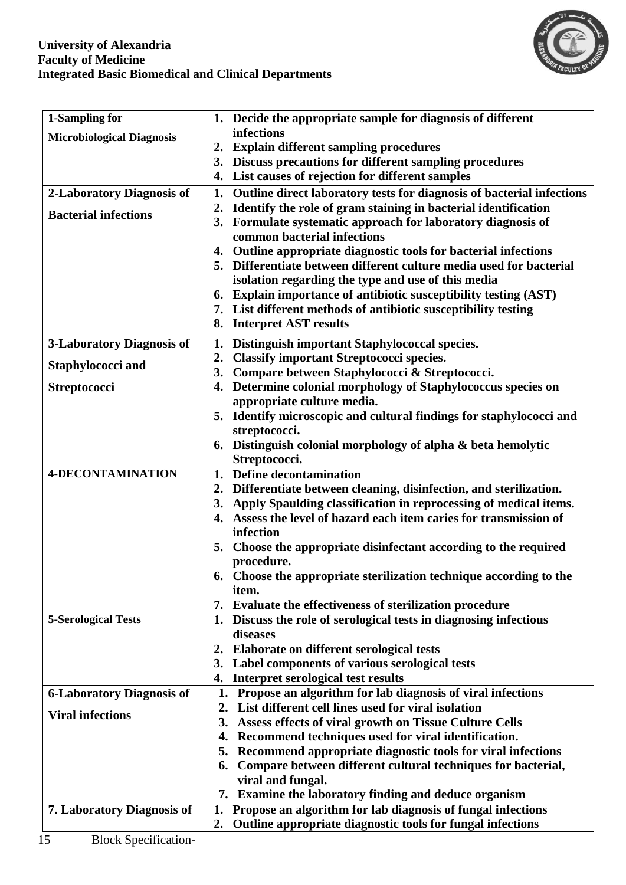

| 1-Sampling for                   | 1. Decide the appropriate sample for diagnosis of different                                                            |  |
|----------------------------------|------------------------------------------------------------------------------------------------------------------------|--|
| <b>Microbiological Diagnosis</b> | infections                                                                                                             |  |
|                                  | 2. Explain different sampling procedures                                                                               |  |
|                                  | 3. Discuss precautions for different sampling procedures                                                               |  |
|                                  | List causes of rejection for different samples<br>4.                                                                   |  |
| 2-Laboratory Diagnosis of        | Outline direct laboratory tests for diagnosis of bacterial infections<br>1.                                            |  |
| <b>Bacterial infections</b>      | Identify the role of gram staining in bacterial identification<br>2.                                                   |  |
|                                  | 3. Formulate systematic approach for laboratory diagnosis of                                                           |  |
|                                  | common bacterial infections                                                                                            |  |
|                                  | Outline appropriate diagnostic tools for bacterial infections<br>4.                                                    |  |
|                                  | 5. Differentiate between different culture media used for bacterial                                                    |  |
|                                  | isolation regarding the type and use of this media<br>6. Explain importance of antibiotic susceptibility testing (AST) |  |
|                                  | 7. List different methods of antibiotic susceptibility testing                                                         |  |
|                                  | 8. Interpret AST results                                                                                               |  |
|                                  |                                                                                                                        |  |
| 3-Laboratory Diagnosis of        | Distinguish important Staphylococcal species.<br>1.                                                                    |  |
| <b>Staphylococci and</b>         | <b>Classify important Streptococci species.</b><br>2.                                                                  |  |
|                                  | Compare between Staphylococci & Streptococci.<br>3.                                                                    |  |
| <b>Streptococci</b>              | Determine colonial morphology of Staphylococcus species on<br>4.<br>appropriate culture media.                         |  |
|                                  | Identify microscopic and cultural findings for staphylococci and<br>5.                                                 |  |
|                                  | streptococci.                                                                                                          |  |
|                                  | 6. Distinguish colonial morphology of alpha & beta hemolytic                                                           |  |
|                                  | Streptococci.                                                                                                          |  |
| <b>4-DECONTAMINATION</b>         | 1. Define decontamination                                                                                              |  |
|                                  | 2. Differentiate between cleaning, disinfection, and sterilization.                                                    |  |
|                                  | 3. Apply Spaulding classification in reprocessing of medical items.                                                    |  |
|                                  | 4. Assess the level of hazard each item caries for transmission of                                                     |  |
|                                  | infection                                                                                                              |  |
|                                  | 5. Choose the appropriate disinfectant according to the required                                                       |  |
|                                  | procedure.                                                                                                             |  |
|                                  | 6. Choose the appropriate sterilization technique according to the                                                     |  |
|                                  | item.                                                                                                                  |  |
|                                  | 7. Evaluate the effectiveness of sterilization procedure                                                               |  |
| <b>5-Serological Tests</b>       | 1. Discuss the role of serological tests in diagnosing infectious                                                      |  |
|                                  | diseases<br>Elaborate on different serological tests<br>2.                                                             |  |
|                                  | 3. Label components of various serological tests                                                                       |  |
|                                  | Interpret serological test results<br>4.                                                                               |  |
| <b>6-Laboratory Diagnosis of</b> | Propose an algorithm for lab diagnosis of viral infections<br>1.                                                       |  |
|                                  | List different cell lines used for viral isolation<br>2.                                                               |  |
| <b>Viral infections</b>          | Assess effects of viral growth on Tissue Culture Cells<br>3.                                                           |  |
|                                  | Recommend techniques used for viral identification.<br>4.                                                              |  |
|                                  | Recommend appropriate diagnostic tools for viral infections<br>5.                                                      |  |
|                                  | Compare between different cultural techniques for bacterial,<br>6.                                                     |  |
|                                  | viral and fungal.                                                                                                      |  |
|                                  | 7. Examine the laboratory finding and deduce organism                                                                  |  |
| 7. Laboratory Diagnosis of       | 1. Propose an algorithm for lab diagnosis of fungal infections                                                         |  |
|                                  | Outline appropriate diagnostic tools for fungal infections<br>2.                                                       |  |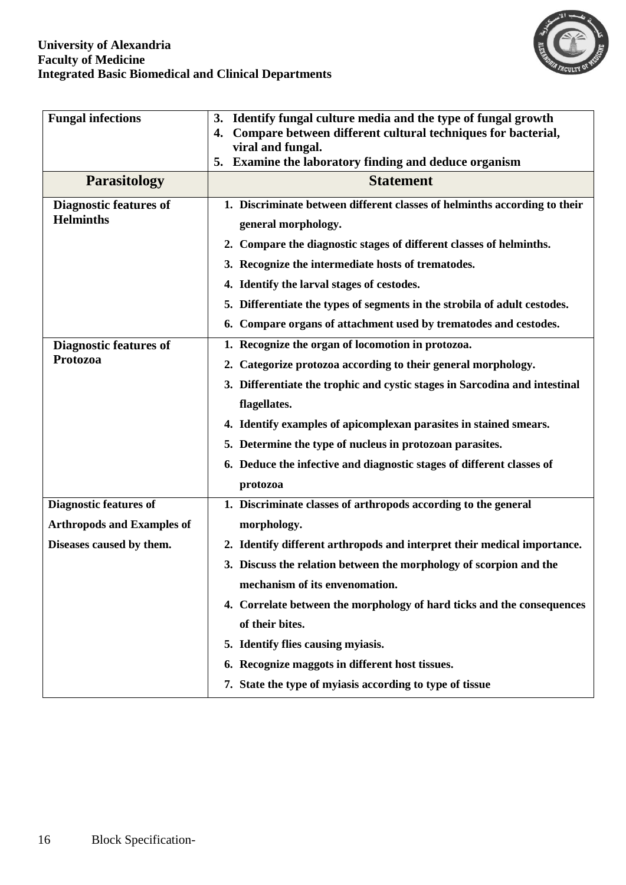

| <b>Fungal infections</b>                                      | Identify fungal culture media and the type of fungal growth<br>3.<br>Compare between different cultural techniques for bacterial,<br>4.<br>viral and fungal.<br>5. Examine the laboratory finding and deduce organism                                                                                                                                                                                                                             |  |
|---------------------------------------------------------------|---------------------------------------------------------------------------------------------------------------------------------------------------------------------------------------------------------------------------------------------------------------------------------------------------------------------------------------------------------------------------------------------------------------------------------------------------|--|
| <b>Parasitology</b>                                           | <b>Statement</b>                                                                                                                                                                                                                                                                                                                                                                                                                                  |  |
| <b>Diagnostic features of</b><br><b>Helminths</b>             | 1. Discriminate between different classes of helminths according to their<br>general morphology.<br>2. Compare the diagnostic stages of different classes of helminths.<br>3. Recognize the intermediate hosts of trematodes.<br>4. Identify the larval stages of cestodes.<br>5. Differentiate the types of segments in the strobila of adult cestodes.<br>6. Compare organs of attachment used by trematodes and cestodes.                      |  |
| <b>Diagnostic features of</b><br>Protozoa                     | 1. Recognize the organ of locomotion in protozoa.<br>2. Categorize protozoa according to their general morphology.<br>3. Differentiate the trophic and cystic stages in Sarcodina and intestinal<br>flagellates.<br>4. Identify examples of apicomplexan parasites in stained smears.<br>5. Determine the type of nucleus in protozoan parasites.<br>6. Deduce the infective and diagnostic stages of different classes of<br>protozoa            |  |
| <b>Diagnostic features of</b>                                 | 1. Discriminate classes of arthropods according to the general                                                                                                                                                                                                                                                                                                                                                                                    |  |
| <b>Arthropods and Examples of</b><br>Diseases caused by them. | morphology.<br>2. Identify different arthropods and interpret their medical importance.<br>3. Discuss the relation between the morphology of scorpion and the<br>mechanism of its envenomation.<br>4. Correlate between the morphology of hard ticks and the consequences<br>of their bites.<br>5. Identify flies causing myiasis.<br>6. Recognize maggots in different host tissues.<br>7. State the type of myiasis according to type of tissue |  |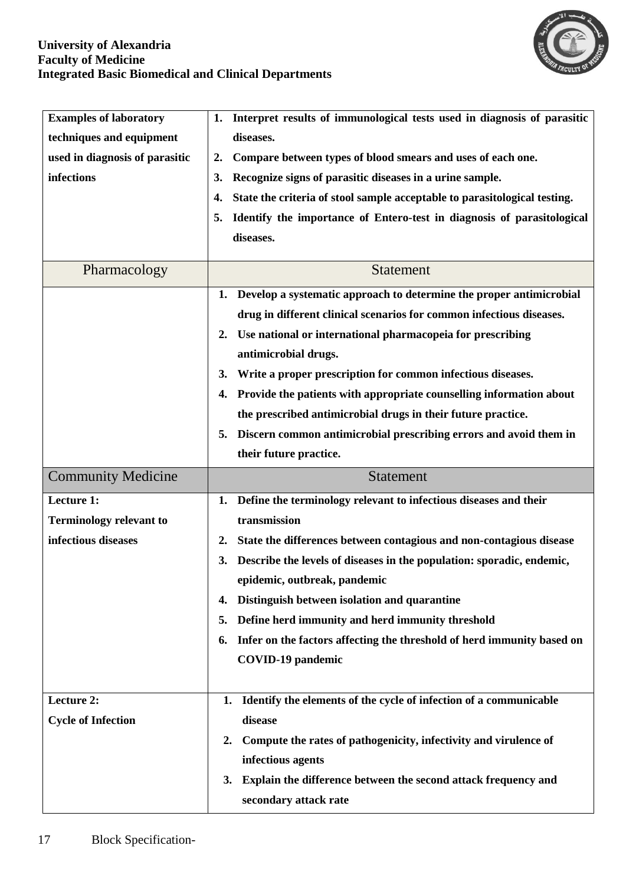

| <b>Examples of laboratory</b>  | Interpret results of immunological tests used in diagnosis of parasitic<br>1.   |  |  |
|--------------------------------|---------------------------------------------------------------------------------|--|--|
| techniques and equipment       | diseases.                                                                       |  |  |
| used in diagnosis of parasitic | Compare between types of blood smears and uses of each one.<br>2.               |  |  |
| infections                     | Recognize signs of parasitic diseases in a urine sample.<br>3.                  |  |  |
|                                | State the criteria of stool sample acceptable to parasitological testing.<br>4. |  |  |
|                                | Identify the importance of Entero-test in diagnosis of parasitological<br>5.    |  |  |
|                                | diseases.                                                                       |  |  |
|                                |                                                                                 |  |  |
| Pharmacology                   | <b>Statement</b>                                                                |  |  |
|                                | Develop a systematic approach to determine the proper antimicrobial<br>1.       |  |  |
|                                | drug in different clinical scenarios for common infectious diseases.            |  |  |
|                                | Use national or international pharmacopeia for prescribing<br>2.                |  |  |
|                                | antimicrobial drugs.                                                            |  |  |
|                                | Write a proper prescription for common infectious diseases.<br>3.               |  |  |
|                                | Provide the patients with appropriate counselling information about<br>4.       |  |  |
|                                | the prescribed antimicrobial drugs in their future practice.                    |  |  |
|                                | Discern common antimicrobial prescribing errors and avoid them in<br>5.         |  |  |
|                                | their future practice.                                                          |  |  |
|                                |                                                                                 |  |  |
| <b>Community Medicine</b>      | <b>Statement</b>                                                                |  |  |
| Lecture 1:                     | Define the terminology relevant to infectious diseases and their<br>1.          |  |  |
| <b>Terminology relevant to</b> | transmission                                                                    |  |  |
| infectious diseases            | State the differences between contagious and non-contagious disease<br>2.       |  |  |
|                                | Describe the levels of diseases in the population: sporadic, endemic,<br>3.     |  |  |
|                                | epidemic, outbreak, pandemic                                                    |  |  |
|                                | Distinguish between isolation and quarantine<br>4.                              |  |  |
|                                | Define herd immunity and herd immunity threshold<br>5.                          |  |  |
|                                | Infer on the factors affecting the threshold of herd immunity based on<br>6.    |  |  |
|                                | <b>COVID-19 pandemic</b>                                                        |  |  |
|                                |                                                                                 |  |  |
| Lecture 2:                     | Identify the elements of the cycle of infection of a communicable<br>1.         |  |  |
| <b>Cycle of Infection</b>      | disease                                                                         |  |  |
|                                | Compute the rates of pathogenicity, infectivity and virulence of<br>2.          |  |  |
|                                | infectious agents                                                               |  |  |
|                                | Explain the difference between the second attack frequency and<br>3.            |  |  |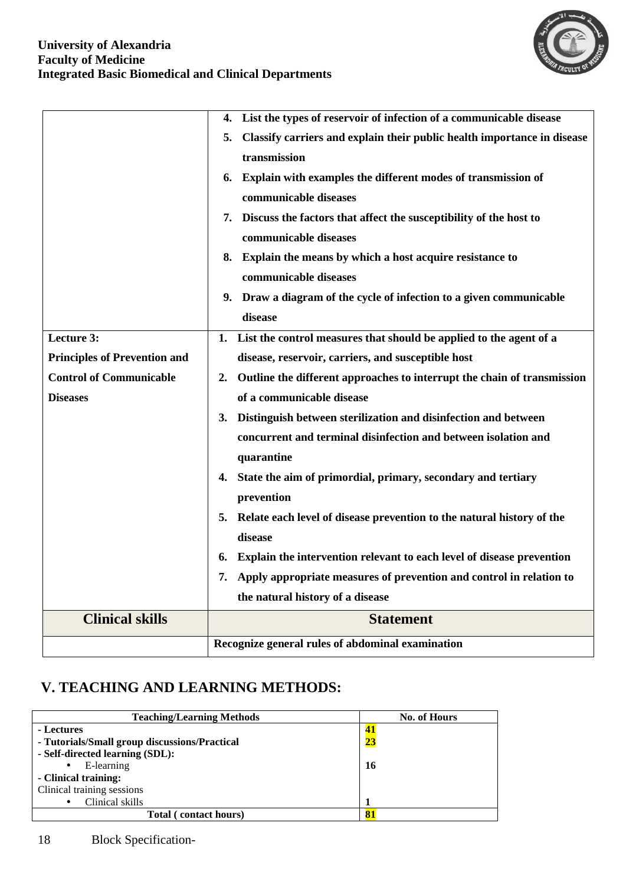

|                                     | List the types of reservoir of infection of a communicable disease<br>4.                      |  |
|-------------------------------------|-----------------------------------------------------------------------------------------------|--|
|                                     | Classify carriers and explain their public health importance in disease<br>5.<br>transmission |  |
|                                     |                                                                                               |  |
|                                     | Explain with examples the different modes of transmission of<br>6.                            |  |
|                                     | communicable diseases                                                                         |  |
|                                     | 7. Discuss the factors that affect the susceptibility of the host to                          |  |
|                                     | communicable diseases                                                                         |  |
|                                     | 8. Explain the means by which a host acquire resistance to                                    |  |
|                                     | communicable diseases                                                                         |  |
|                                     | 9. Draw a diagram of the cycle of infection to a given communicable                           |  |
|                                     | disease                                                                                       |  |
| Lecture 3:                          | List the control measures that should be applied to the agent of a<br>1.                      |  |
| <b>Principles of Prevention and</b> | disease, reservoir, carriers, and susceptible host                                            |  |
| <b>Control of Communicable</b>      | 2.<br>Outline the different approaches to interrupt the chain of transmission                 |  |
| <b>Diseases</b>                     | of a communicable disease                                                                     |  |
|                                     | Distinguish between sterilization and disinfection and between<br>3.                          |  |
|                                     | concurrent and terminal disinfection and between isolation and                                |  |
|                                     | quarantine                                                                                    |  |
|                                     | 4. State the aim of primordial, primary, secondary and tertiary                               |  |
|                                     | prevention                                                                                    |  |
|                                     | Relate each level of disease prevention to the natural history of the<br>5.                   |  |
|                                     | disease                                                                                       |  |
|                                     | Explain the intervention relevant to each level of disease prevention<br>6.                   |  |
|                                     | Apply appropriate measures of prevention and control in relation to<br>7.                     |  |
|                                     | the natural history of a disease                                                              |  |
| <b>Clinical skills</b>              | <b>Statement</b>                                                                              |  |
|                                     | Recognize general rules of abdominal examination                                              |  |

# **V. TEACHING AND LEARNING METHODS:**

| <b>Teaching/Learning Methods</b>              | No. of Hours |
|-----------------------------------------------|--------------|
| - Lectures                                    | 41           |
| - Tutorials/Small group discussions/Practical | <u>23</u>    |
| - Self-directed learning (SDL):               |              |
| E-learning<br>$\bullet$                       | 16           |
| - Clinical training:                          |              |
| Clinical training sessions                    |              |
| Clinical skills<br>$\bullet$                  |              |
| Total (contact hours)                         | 81           |